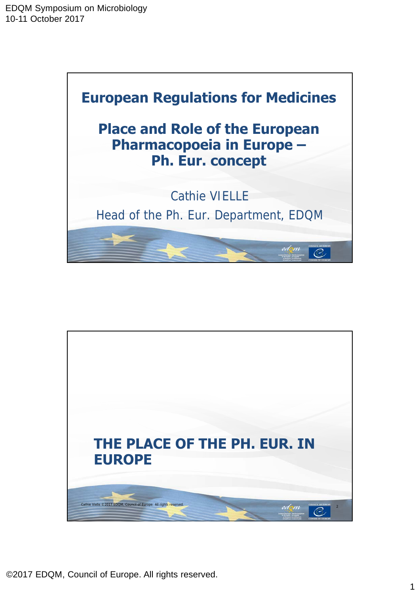

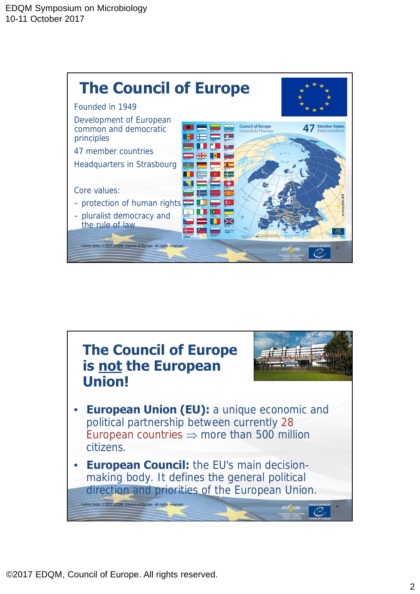

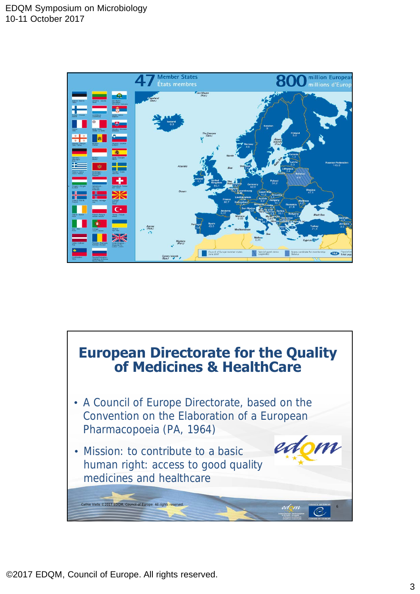

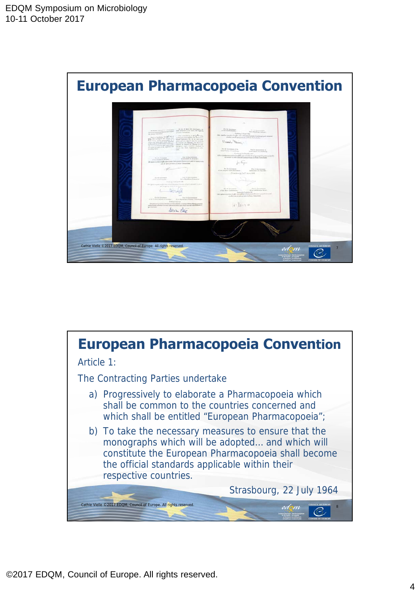

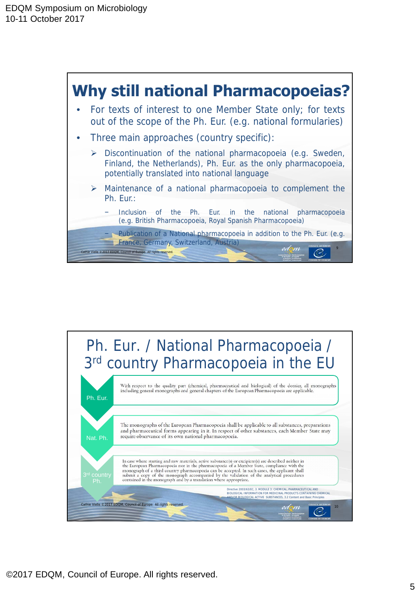

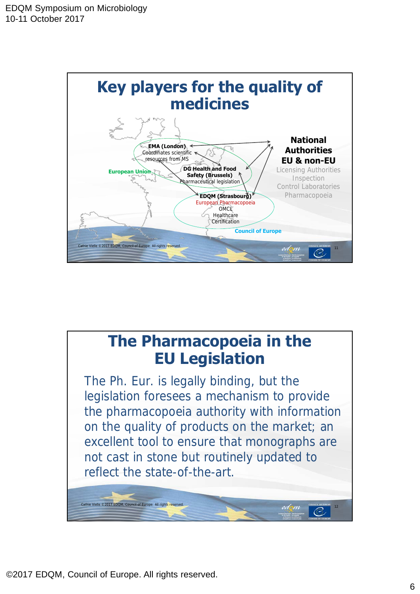

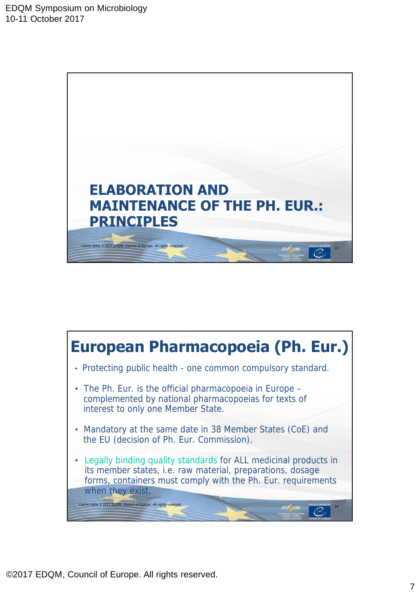

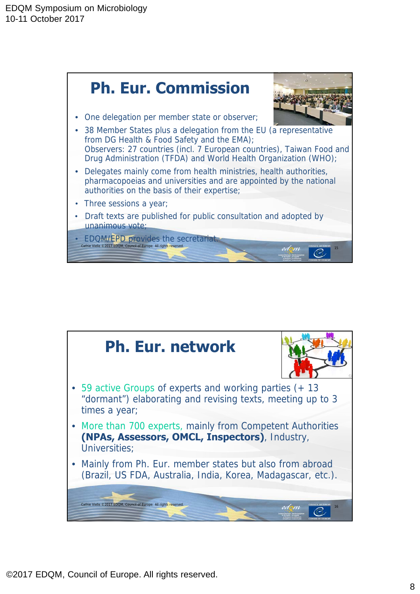

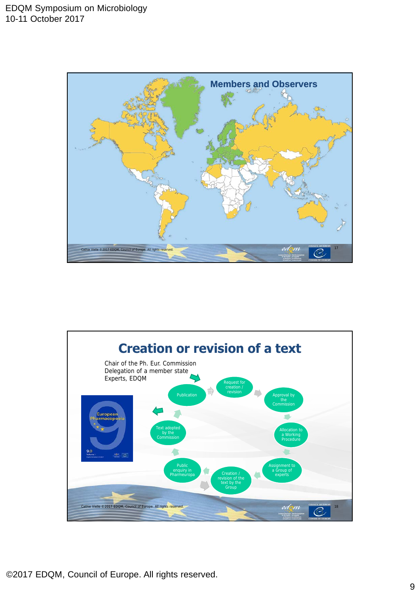

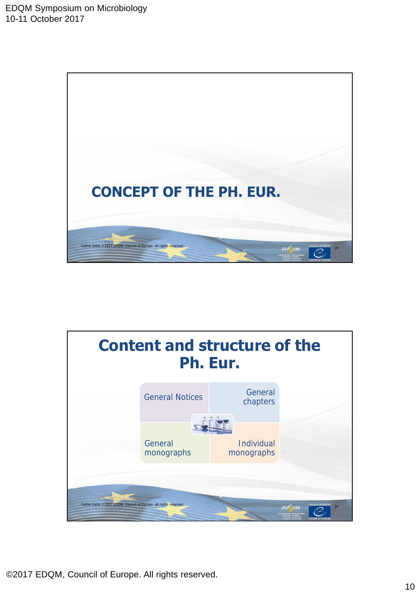

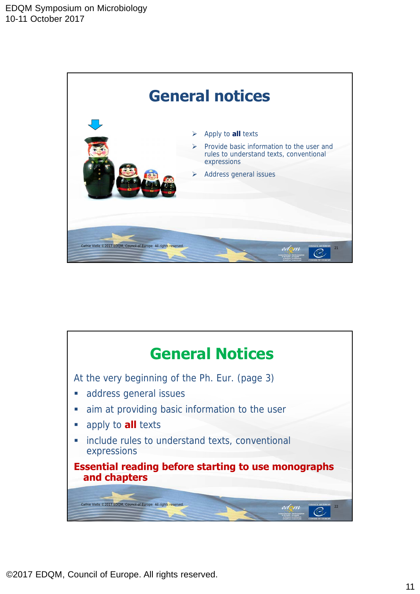

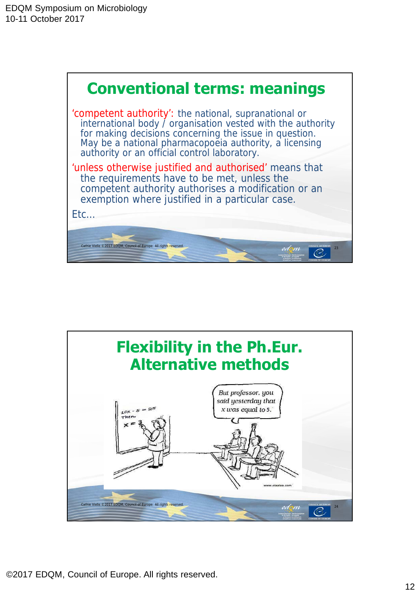

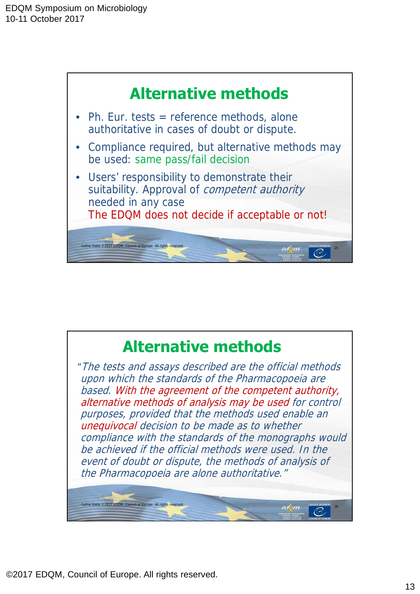

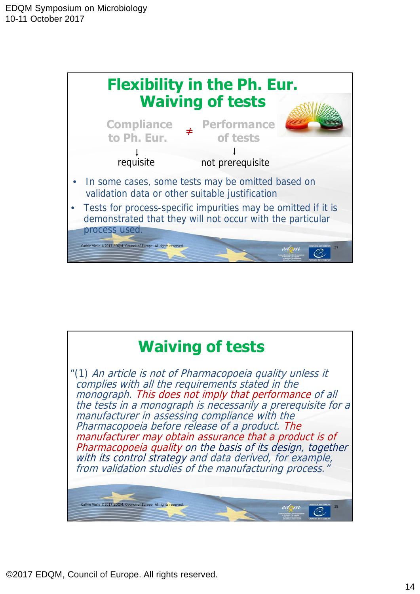

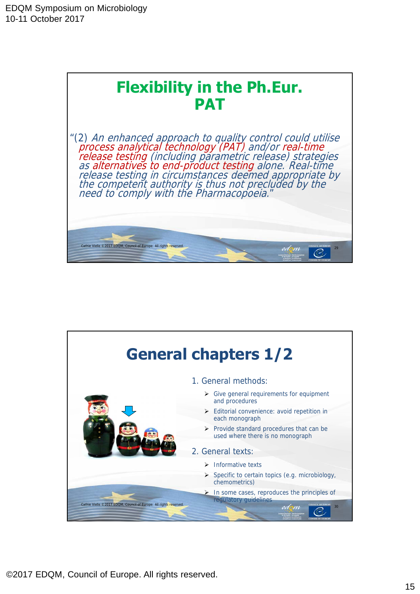

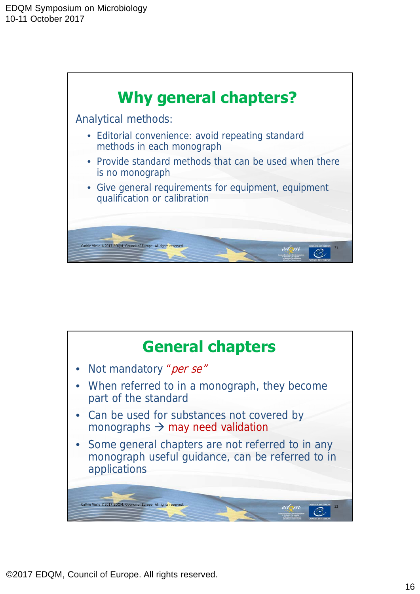

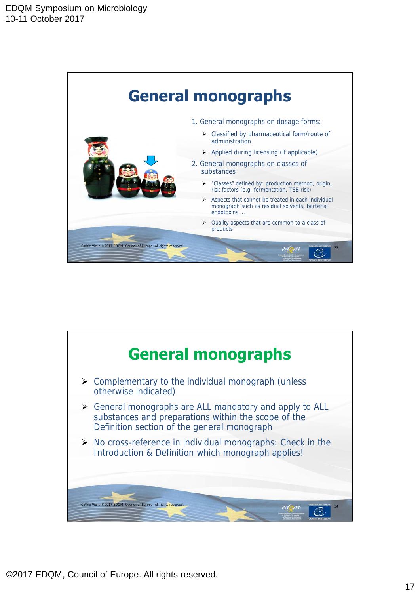